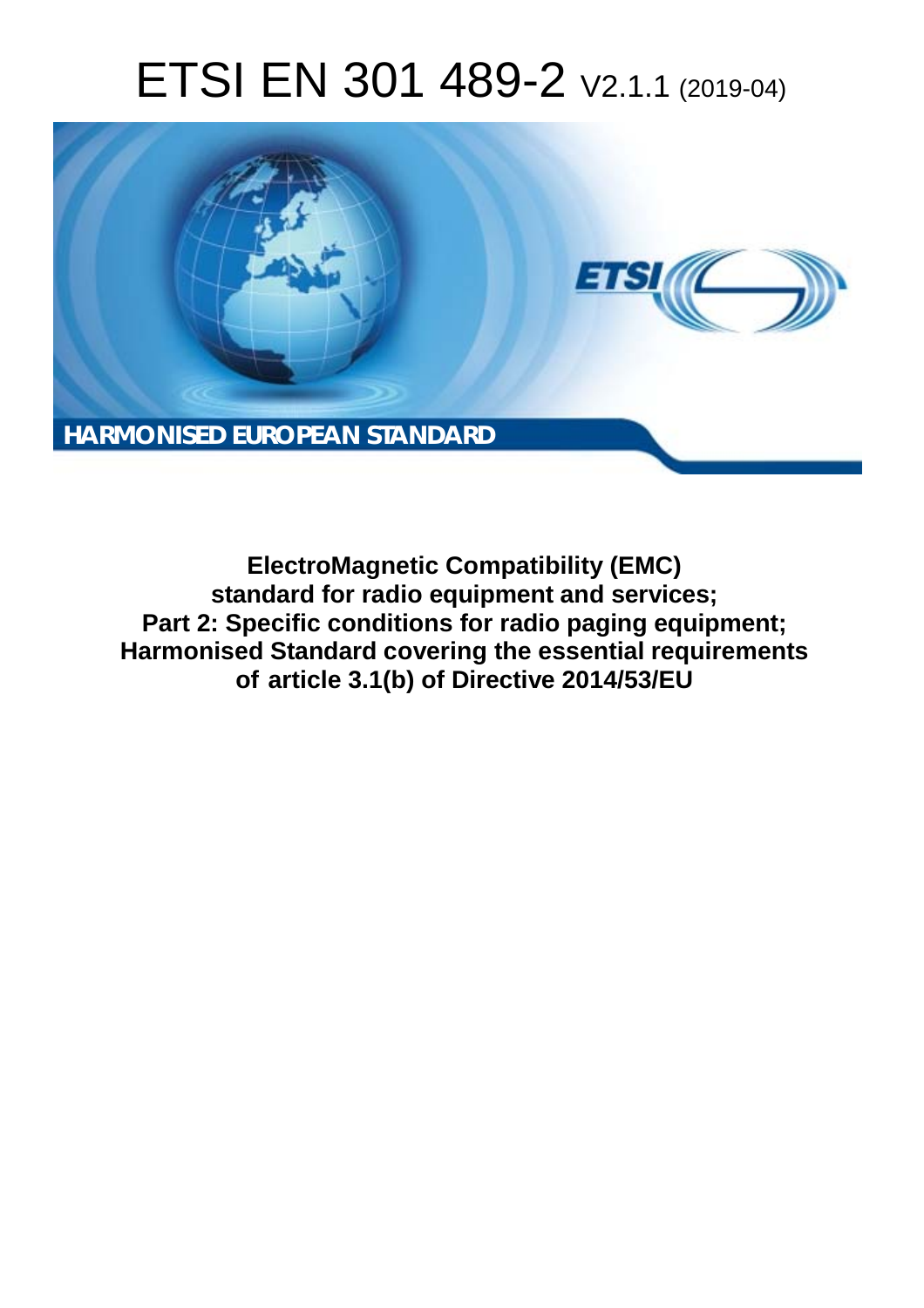# ETSI EN 301 489-2 V2.1.1 (2019-04)



**ElectroMagnetic Compatibility (EMC) standard for radio equipment and services; Part 2: Specific conditions for radio paging equipment; Harmonised Standard covering the essential requirements of article 3.1(b) of Directive 2014/53/EU**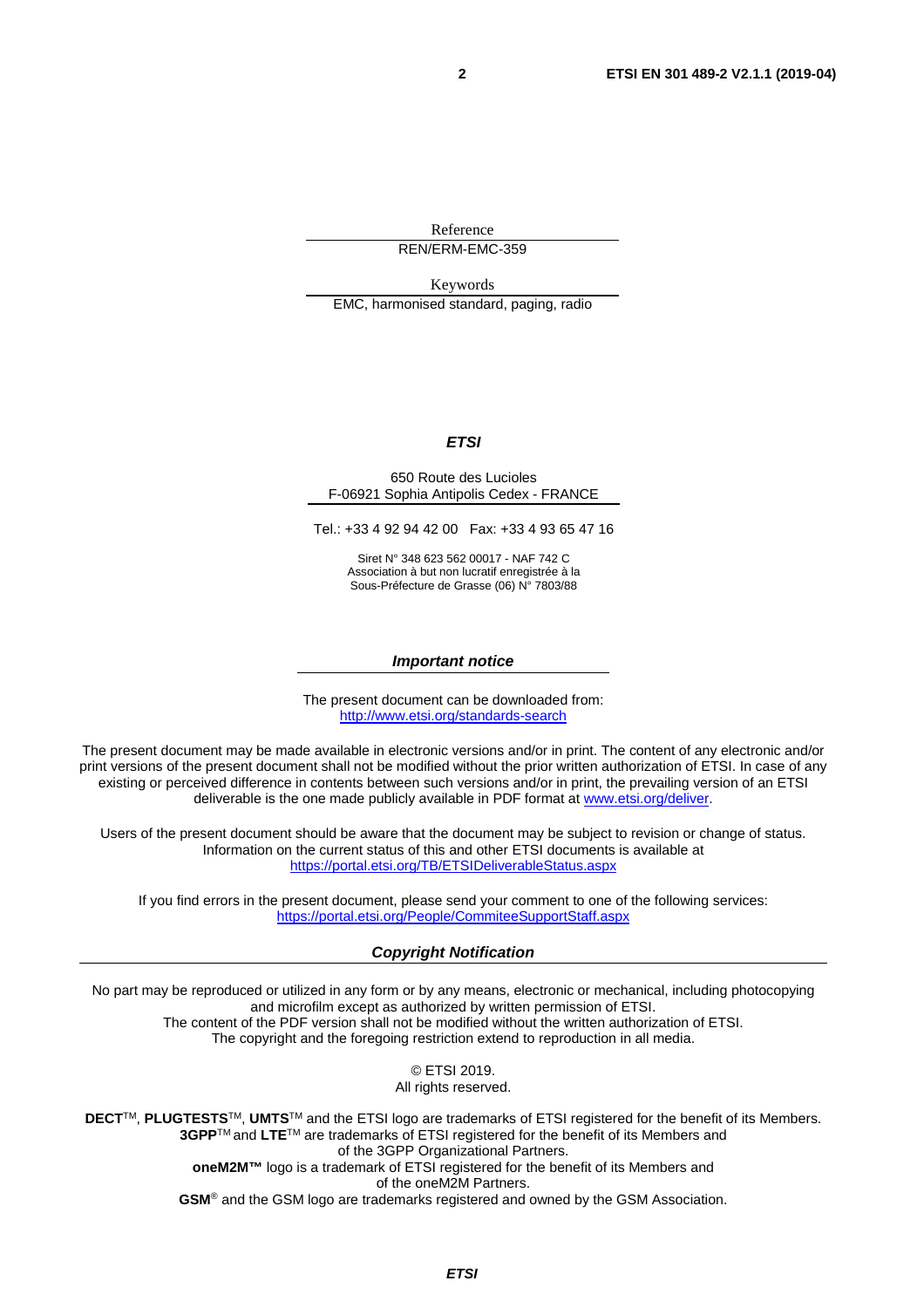Reference REN/ERM-EMC-359

Keywords EMC, harmonised standard, paging, radio

#### *ETSI*

#### 650 Route des Lucioles F-06921 Sophia Antipolis Cedex - FRANCE

Tel.: +33 4 92 94 42 00 Fax: +33 4 93 65 47 16

Siret N° 348 623 562 00017 - NAF 742 C Association à but non lucratif enregistrée à la Sous-Préfecture de Grasse (06) N° 7803/88

#### *Important notice*

The present document can be downloaded from: <http://www.etsi.org/standards-search>

The present document may be made available in electronic versions and/or in print. The content of any electronic and/or print versions of the present document shall not be modified without the prior written authorization of ETSI. In case of any existing or perceived difference in contents between such versions and/or in print, the prevailing version of an ETSI deliverable is the one made publicly available in PDF format at [www.etsi.org/deliver](http://www.etsi.org/deliver).

Users of the present document should be aware that the document may be subject to revision or change of status. Information on the current status of this and other ETSI documents is available at <https://portal.etsi.org/TB/ETSIDeliverableStatus.aspx>

If you find errors in the present document, please send your comment to one of the following services: <https://portal.etsi.org/People/CommiteeSupportStaff.aspx>

#### *Copyright Notification*

No part may be reproduced or utilized in any form or by any means, electronic or mechanical, including photocopying and microfilm except as authorized by written permission of ETSI. The content of the PDF version shall not be modified without the written authorization of ETSI. The copyright and the foregoing restriction extend to reproduction in all media.

> © ETSI 2019. All rights reserved.

**DECT**TM, **PLUGTESTS**TM, **UMTS**TM and the ETSI logo are trademarks of ETSI registered for the benefit of its Members. **3GPP**TM and **LTE**TM are trademarks of ETSI registered for the benefit of its Members and of the 3GPP Organizational Partners. **oneM2M™** logo is a trademark of ETSI registered for the benefit of its Members and of the oneM2M Partners. **GSM**® and the GSM logo are trademarks registered and owned by the GSM Association.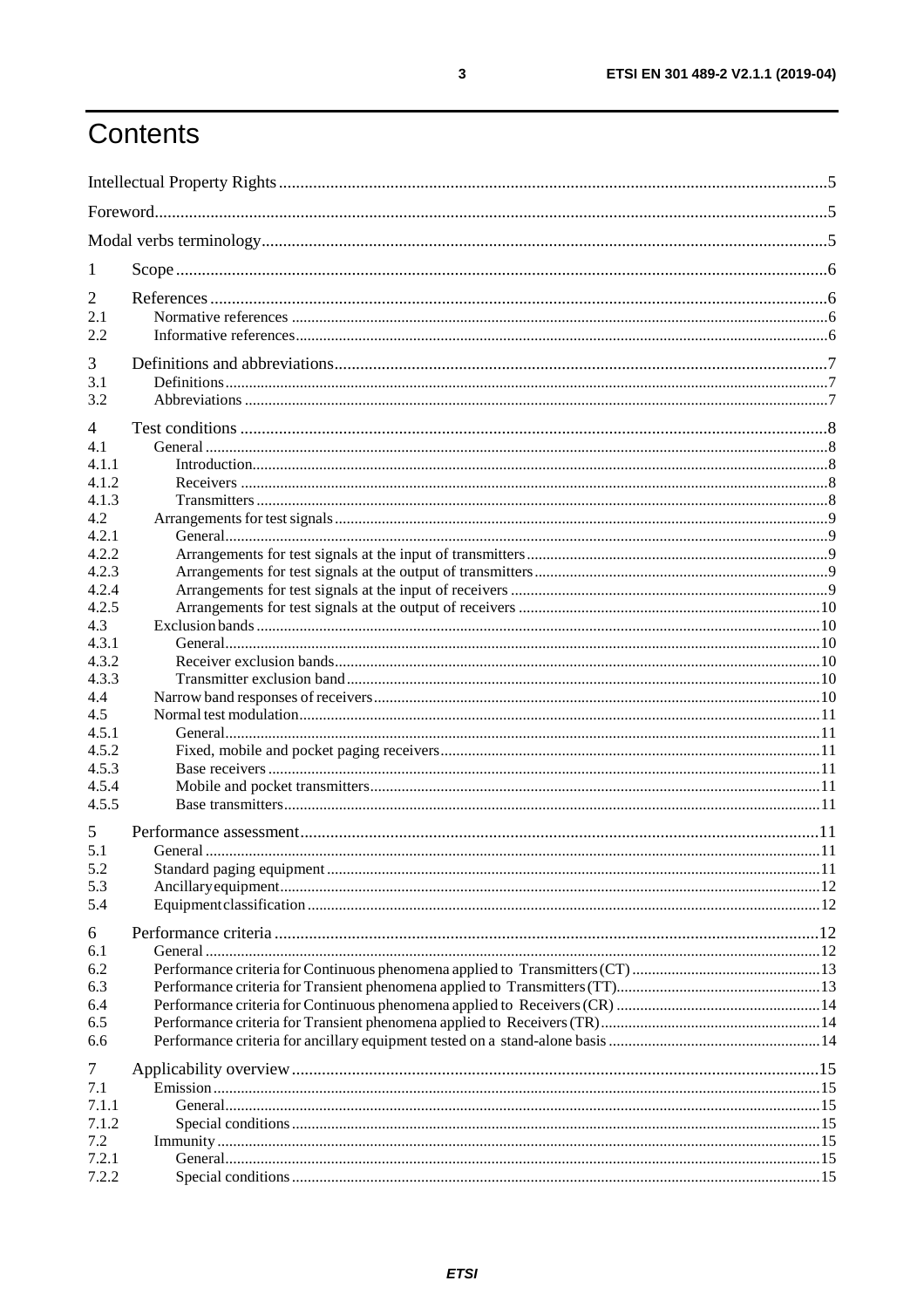## Contents

| 1     |  |  |  |  |  |
|-------|--|--|--|--|--|
| 2     |  |  |  |  |  |
| 2.1   |  |  |  |  |  |
| 2.2   |  |  |  |  |  |
| 3     |  |  |  |  |  |
| 3.1   |  |  |  |  |  |
| 3.2   |  |  |  |  |  |
| 4     |  |  |  |  |  |
| 4.1   |  |  |  |  |  |
| 4.1.1 |  |  |  |  |  |
| 4.1.2 |  |  |  |  |  |
| 4.1.3 |  |  |  |  |  |
| 4.2   |  |  |  |  |  |
| 4.2.1 |  |  |  |  |  |
| 4.2.2 |  |  |  |  |  |
| 4.2.3 |  |  |  |  |  |
| 4.2.4 |  |  |  |  |  |
| 4.2.5 |  |  |  |  |  |
| 4.3   |  |  |  |  |  |
| 4.3.1 |  |  |  |  |  |
| 4.3.2 |  |  |  |  |  |
| 4.3.3 |  |  |  |  |  |
| 4.4   |  |  |  |  |  |
| 4.5   |  |  |  |  |  |
| 4.5.1 |  |  |  |  |  |
| 4.5.2 |  |  |  |  |  |
| 4.5.3 |  |  |  |  |  |
| 4.5.4 |  |  |  |  |  |
| 4.5.5 |  |  |  |  |  |
| 5     |  |  |  |  |  |
| 5.1   |  |  |  |  |  |
| 5.2   |  |  |  |  |  |
| 5.3   |  |  |  |  |  |
| 5.4   |  |  |  |  |  |
| 6     |  |  |  |  |  |
| 6.1   |  |  |  |  |  |
| 6.2   |  |  |  |  |  |
| 6.3   |  |  |  |  |  |
| 6.4   |  |  |  |  |  |
| 6.5   |  |  |  |  |  |
| 6.6   |  |  |  |  |  |
| 7     |  |  |  |  |  |
| 7.1   |  |  |  |  |  |
| 7.1.1 |  |  |  |  |  |
| 7.1.2 |  |  |  |  |  |
| 7.2   |  |  |  |  |  |
| 7.2.1 |  |  |  |  |  |
| 7.2.2 |  |  |  |  |  |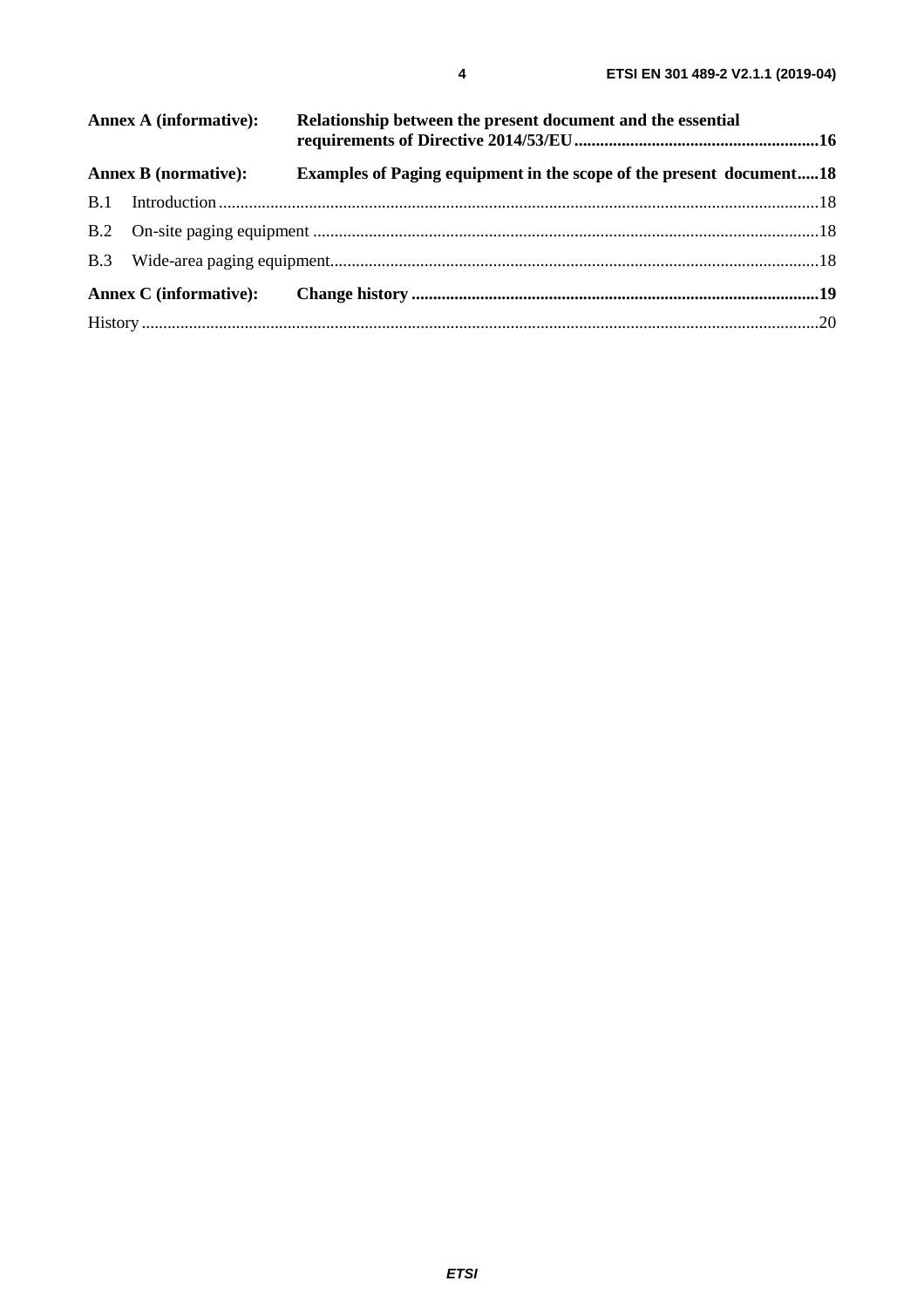| <b>Annex A (informative):</b> |                             | Relationship between the present document and the essential                |  |  |  |
|-------------------------------|-----------------------------|----------------------------------------------------------------------------|--|--|--|
|                               | <b>Annex B</b> (normative): | <b>Examples of Paging equipment in the scope of the present document18</b> |  |  |  |
|                               |                             |                                                                            |  |  |  |
|                               |                             |                                                                            |  |  |  |
|                               |                             |                                                                            |  |  |  |
|                               |                             |                                                                            |  |  |  |
|                               |                             |                                                                            |  |  |  |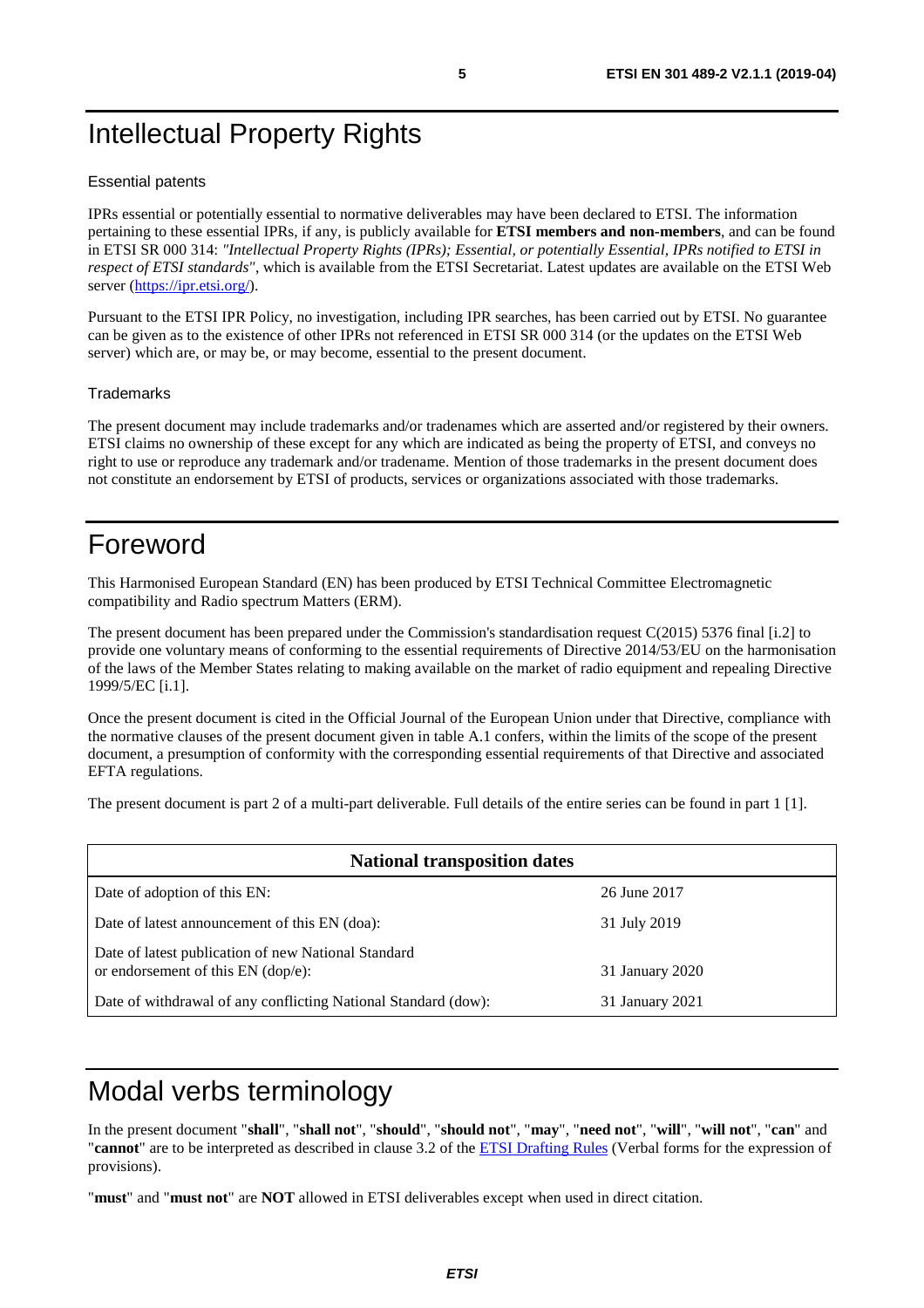## Intellectual Property Rights

#### Essential patents

IPRs essential or potentially essential to normative deliverables may have been declared to ETSI. The information pertaining to these essential IPRs, if any, is publicly available for **ETSI members and non-members**, and can be found in ETSI SR 000 314: *"Intellectual Property Rights (IPRs); Essential, or potentially Essential, IPRs notified to ETSI in respect of ETSI standards"*, which is available from the ETSI Secretariat. Latest updates are available on the ETSI Web server (<https://ipr.etsi.org/>).

Pursuant to the ETSI IPR Policy, no investigation, including IPR searches, has been carried out by ETSI. No guarantee can be given as to the existence of other IPRs not referenced in ETSI SR 000 314 (or the updates on the ETSI Web server) which are, or may be, or may become, essential to the present document.

#### **Trademarks**

The present document may include trademarks and/or tradenames which are asserted and/or registered by their owners. ETSI claims no ownership of these except for any which are indicated as being the property of ETSI, and conveys no right to use or reproduce any trademark and/or tradename. Mention of those trademarks in the present document does not constitute an endorsement by ETSI of products, services or organizations associated with those trademarks.

## Foreword

This Harmonised European Standard (EN) has been produced by ETSI Technical Committee Electromagnetic compatibility and Radio spectrum Matters (ERM).

The present document has been prepared under the Commission's standardisation request C(2015) 5376 final [\[i.2\]](#page-6-0) to provide one voluntary means of conforming to the essential requirements of Directive 2014/53/EU on the harmonisation of the laws of the Member States relating to making available on the market of radio equipment and repealing Directive 1999/5/EC [[i.1](#page-5-0)].

Once the present document is cited in the Official Journal of the European Union under that Directive, compliance with the normative clauses of the present document given in table A.1 confers, within the limits of the scope of the present document, a presumption of conformity with the corresponding essential requirements of that Directive and associated EFTA regulations.

The present document is part 2 of a multi-part deliverable. Full details of the entire series can be found in part 1 [[1\]](#page-5-0).

| <b>National transposition dates</b>                                                       |                 |  |  |  |
|-------------------------------------------------------------------------------------------|-----------------|--|--|--|
| Date of adoption of this EN:                                                              | 26 June 2017    |  |  |  |
| Date of latest announcement of this EN (doa):                                             | 31 July 2019    |  |  |  |
| Date of latest publication of new National Standard<br>or endorsement of this EN (dop/e): | 31 January 2020 |  |  |  |
| Date of withdrawal of any conflicting National Standard (dow):                            | 31 January 2021 |  |  |  |

## Modal verbs terminology

In the present document "**shall**", "**shall not**", "**should**", "**should not**", "**may**", "**need not**", "**will**", "**will not**", "**can**" and "**cannot**" are to be interpreted as described in clause 3.2 of the [ETSI Drafting Rules](https://portal.etsi.org/Services/editHelp!/Howtostart/ETSIDraftingRules.aspx) (Verbal forms for the expression of provisions).

"**must**" and "**must not**" are **NOT** allowed in ETSI deliverables except when used in direct citation.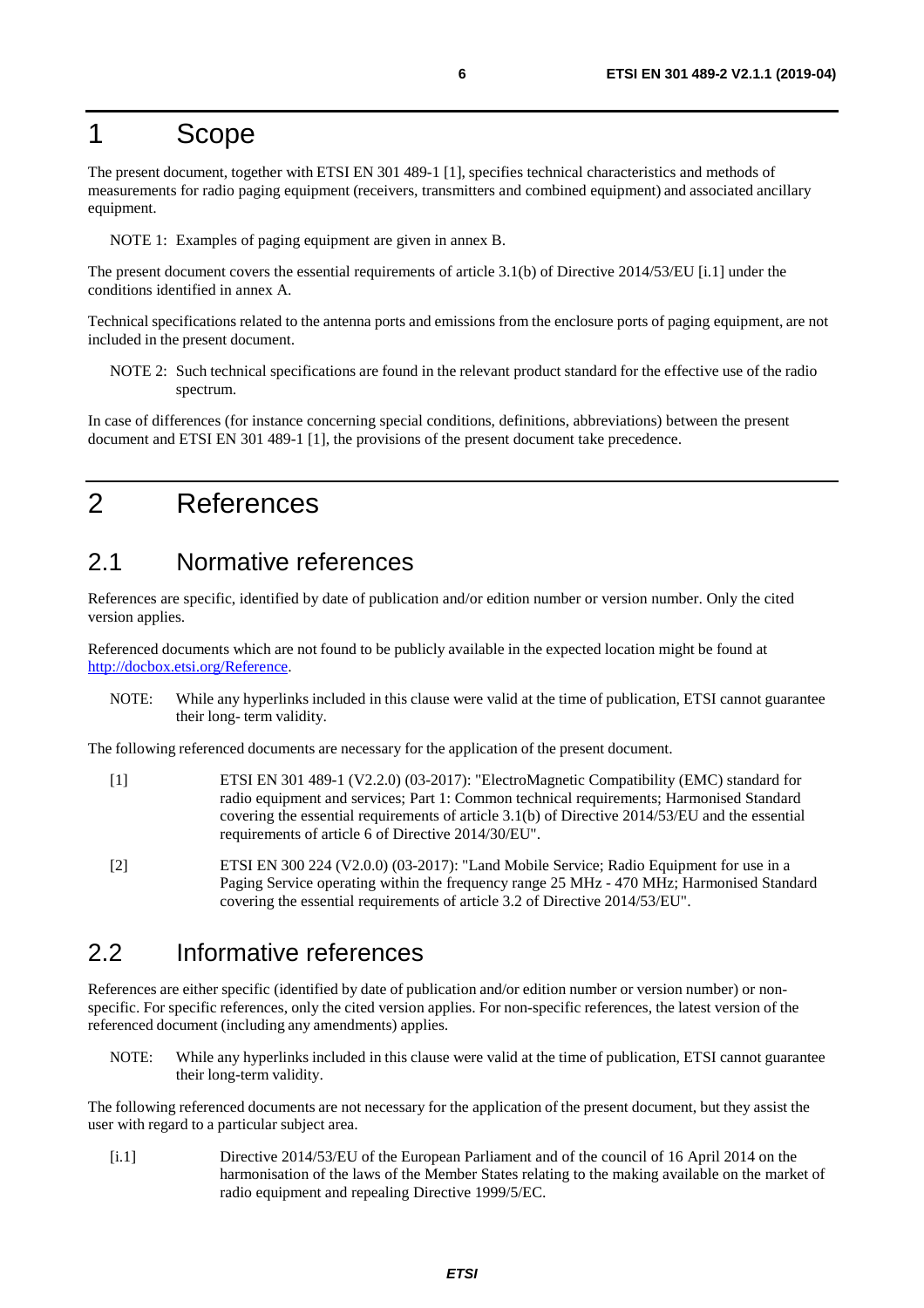### <span id="page-5-0"></span>1 Scope

The present document, together with ETSI EN 301 489-1 [1], specifies technical characteristics and methods of measurements for radio paging equipment (receivers, transmitters and combined equipment) and associated ancillary equipment.

NOTE 1: Examples of paging equipment are given in annex B.

The present document covers the essential requirements of article 3.1(b) of Directive 2014/53/EU [i.1] under the conditions identified in annex A.

Technical specifications related to the antenna ports and emissions from the enclosure ports of paging equipment, are not included in the present document.

NOTE 2: Such technical specifications are found in the relevant product standard for the effective use of the radio spectrum.

In case of differences (for instance concerning special conditions, definitions, abbreviations) between the present document and ETSI EN 301 489-1 [1], the provisions of the present document take precedence.

## 2 References

#### 2.1 Normative references

References are specific, identified by date of publication and/or edition number or version number. Only the cited version applies.

Referenced documents which are not found to be publicly available in the expected location might be found at <http://docbox.etsi.org/Reference>.

NOTE: While any hyperlinks included in this clause were valid at the time of publication, ETSI cannot guarantee their long- term validity.

The following referenced documents are necessary for the application of the present document.

- [1] ETSI EN 301 489-1 (V2.2.0) (03-2017): "ElectroMagnetic Compatibility (EMC) standard for radio equipment and services; Part 1: Common technical requirements; Harmonised Standard covering the essential requirements of article 3.1(b) of Directive 2014/53/EU and the essential requirements of article 6 of Directive 2014/30/EU".
- [2] ETSI EN 300 224 (V2.0.0) (03-2017): "Land Mobile Service; Radio Equipment for use in a Paging Service operating within the frequency range 25 MHz - 470 MHz; Harmonised Standard covering the essential requirements of article 3.2 of Directive 2014/53/EU".

#### 2.2 Informative references

References are either specific (identified by date of publication and/or edition number or version number) or nonspecific. For specific references, only the cited version applies. For non-specific references, the latest version of the referenced document (including any amendments) applies.

NOTE: While any hyperlinks included in this clause were valid at the time of publication, ETSI cannot guarantee their long-term validity.

The following referenced documents are not necessary for the application of the present document, but they assist the user with regard to a particular subject area.

[i.1] Directive 2014/53/EU of the European Parliament and of the council of 16 April 2014 on the harmonisation of the laws of the Member States relating to the making available on the market of radio equipment and repealing Directive 1999/5/EC.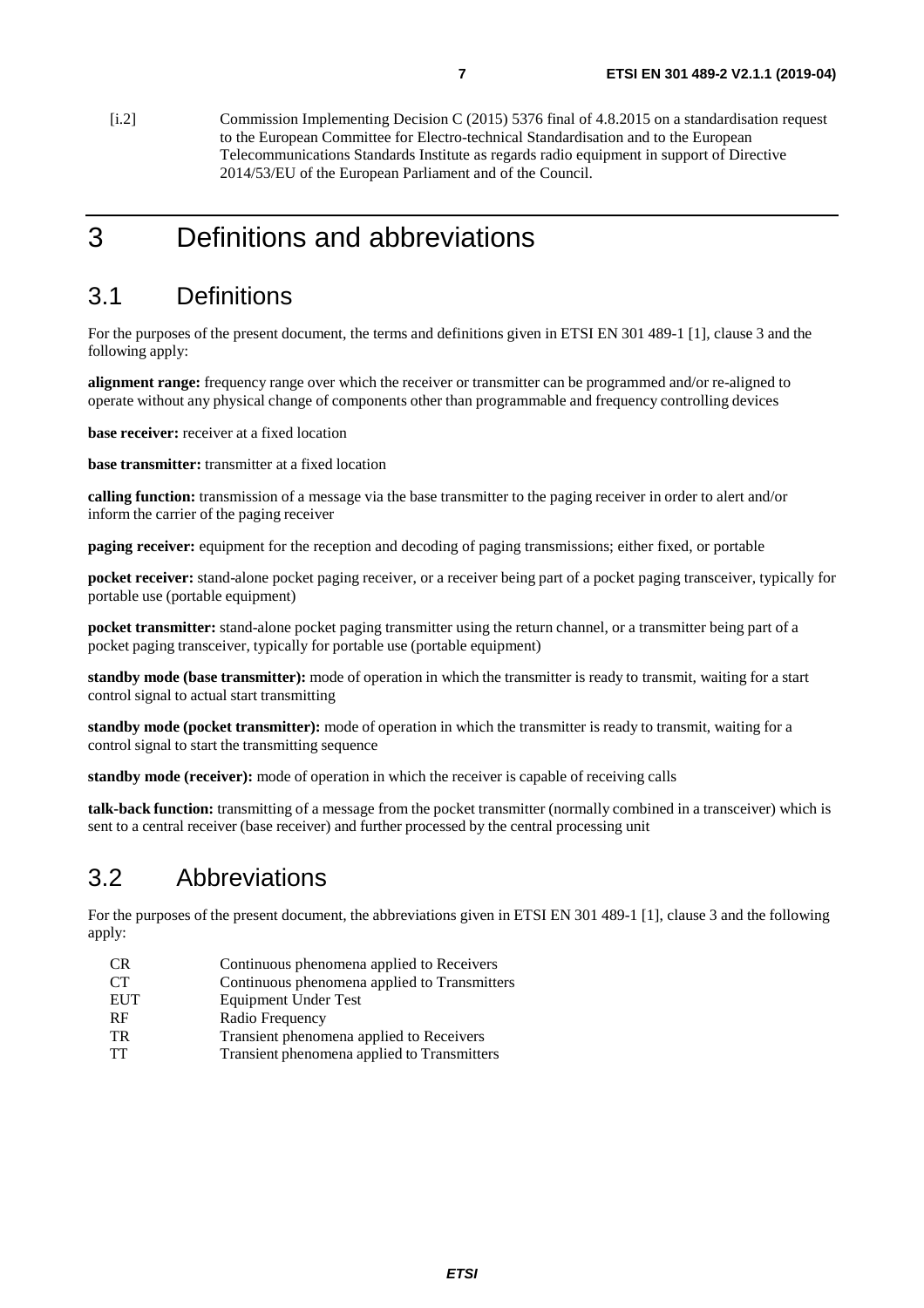<span id="page-6-0"></span>[i.2] Commission Implementing Decision C (2015) 5376 final of 4.8.2015 on a standardisation request to the European Committee for Electro-technical Standardisation and to the European Telecommunications Standards Institute as regards radio equipment in support of Directive 2014/53/EU of the European Parliament and of the Council.

## 3 Definitions and abbreviations

#### 3.1 Definitions

For the purposes of the present document, the terms and definitions given in ETSI EN 301 489-1 [[1\]](#page-5-0), clause 3 and the following apply:

**alignment range:** frequency range over which the receiver or transmitter can be programmed and/or re-aligned to operate without any physical change of components other than programmable and frequency controlling devices

**base receiver:** receiver at a fixed location

**base transmitter:** transmitter at a fixed location

**calling function:** transmission of a message via the base transmitter to the paging receiver in order to alert and/or inform the carrier of the paging receiver

**paging receiver:** equipment for the reception and decoding of paging transmissions; either fixed, or portable

**pocket receiver:** stand-alone pocket paging receiver, or a receiver being part of a pocket paging transceiver, typically for portable use (portable equipment)

**pocket transmitter:** stand-alone pocket paging transmitter using the return channel, or a transmitter being part of a pocket paging transceiver, typically for portable use (portable equipment)

**standby mode (base transmitter):** mode of operation in which the transmitter is ready to transmit, waiting for a start control signal to actual start transmitting

**standby mode (pocket transmitter):** mode of operation in which the transmitter is ready to transmit, waiting for a control signal to start the transmitting sequence

**standby mode (receiver):** mode of operation in which the receiver is capable of receiving calls

**talk-back function:** transmitting of a message from the pocket transmitter (normally combined in a transceiver) which is sent to a central receiver (base receiver) and further processed by the central processing unit

### 3.2 Abbreviations

For the purposes of the present document, the abbreviations given in ETSI EN 301 489-1 [\[1\]](#page-5-0), clause 3 and the following apply:

- CR Continuous phenomena applied to Receivers
- CT Continuous phenomena applied to Transmitters
- EUT Equipment Under Test
- RF Radio Frequency
- TR Transient phenomena applied to Receivers
- TT Transient phenomena applied to Transmitters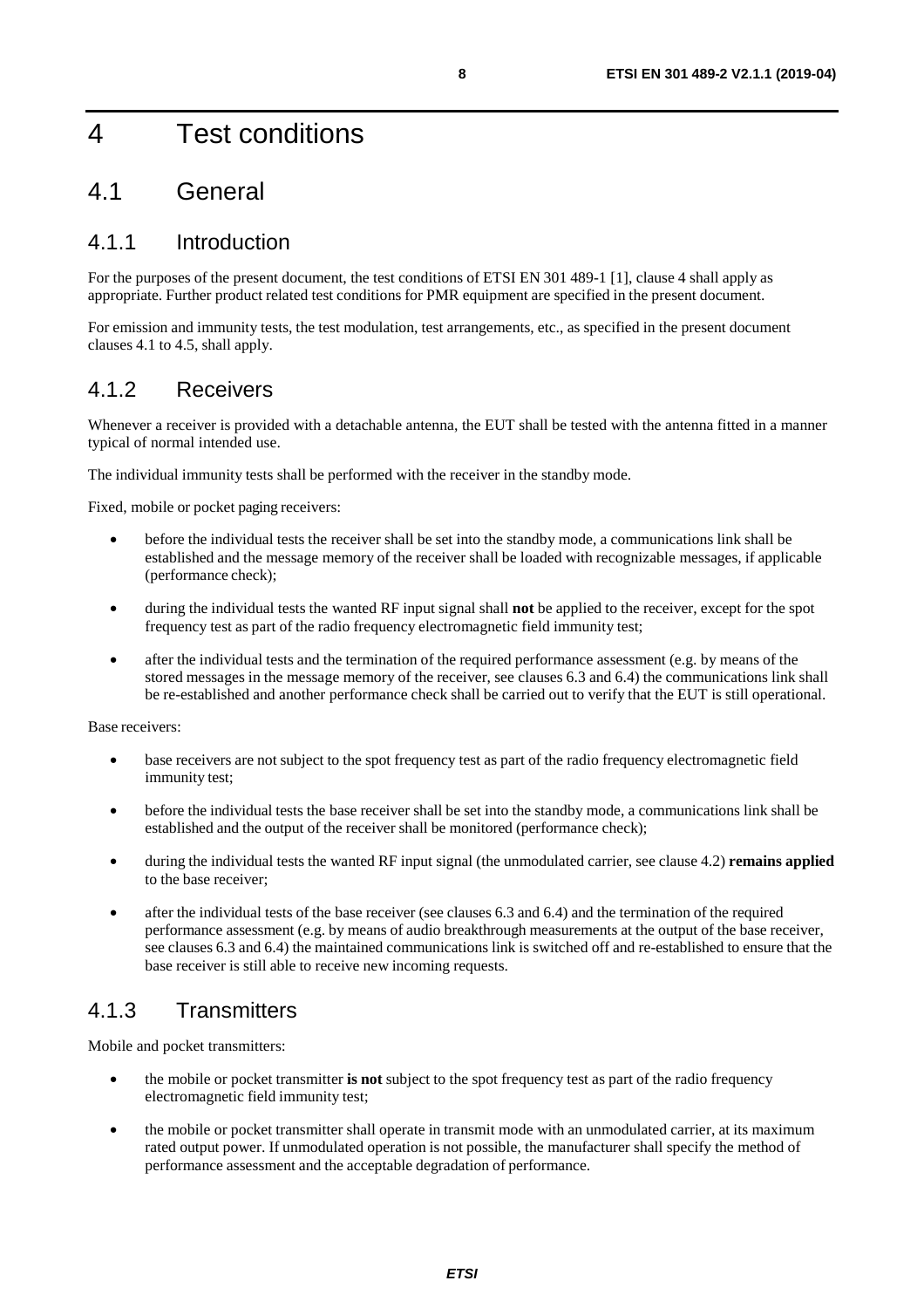## 4 Test conditions

### 4.1 General

#### 4.1.1 Introduction

For the purposes of the present document, the test conditions of ETSI EN 301 489-1 [\[1](#page-5-0)], clause 4 shall apply as appropriate. Further product related test conditions for PMR equipment are specified in the present document.

For emission and immunity tests, the test modulation, test arrangements, etc., as specified in the present document clauses 4.1 to 4.5, shall apply.

#### 4.1.2 Receivers

Whenever a receiver is provided with a detachable antenna, the EUT shall be tested with the antenna fitted in a manner typical of normal intended use.

The individual immunity tests shall be performed with the receiver in the standby mode.

Fixed, mobile or pocket paging receivers:

- before the individual tests the receiver shall be set into the standby mode, a communications link shall be established and the message memory of the receiver shall be loaded with recognizable messages, if applicable (performance check);
- during the individual tests the wanted RF input signal shall **not** be applied to the receiver, except for the spot frequency test as part of the radio frequency electromagnetic field immunity test;
- after the individual tests and the termination of the required performance assessment (e.g. by means of the stored messages in the message memory of the receiver, see clauses 6.3 and 6.4) the communications link shall be re-established and another performance check shall be carried out to verify that the EUT is still operational.

Base receivers:

- base receivers are not subject to the spot frequency test as part of the radio frequency electromagnetic field immunity test;
- before the individual tests the base receiver shall be set into the standby mode, a communications link shall be established and the output of the receiver shall be monitored (performance check);
- during the individual tests the wanted RF input signal (the unmodulated carrier, see clause 4.2) **remains applied**  to the base receiver;
- after the individual tests of the base receiver (see clauses 6.3 and 6.4) and the termination of the required performance assessment (e.g. by means of audio breakthrough measurements at the output of the base receiver, see clauses 6.3 and 6.4) the maintained communications link is switched off and re-established to ensure that the base receiver is still able to receive new incoming requests.

#### 4.1.3 Transmitters

Mobile and pocket transmitters:

- the mobile or pocket transmitter **is not** subject to the spot frequency test as part of the radio frequency electromagnetic field immunity test;
- the mobile or pocket transmitter shall operate in transmit mode with an unmodulated carrier, at its maximum rated output power. If unmodulated operation is not possible, the manufacturer shall specify the method of performance assessment and the acceptable degradation of performance.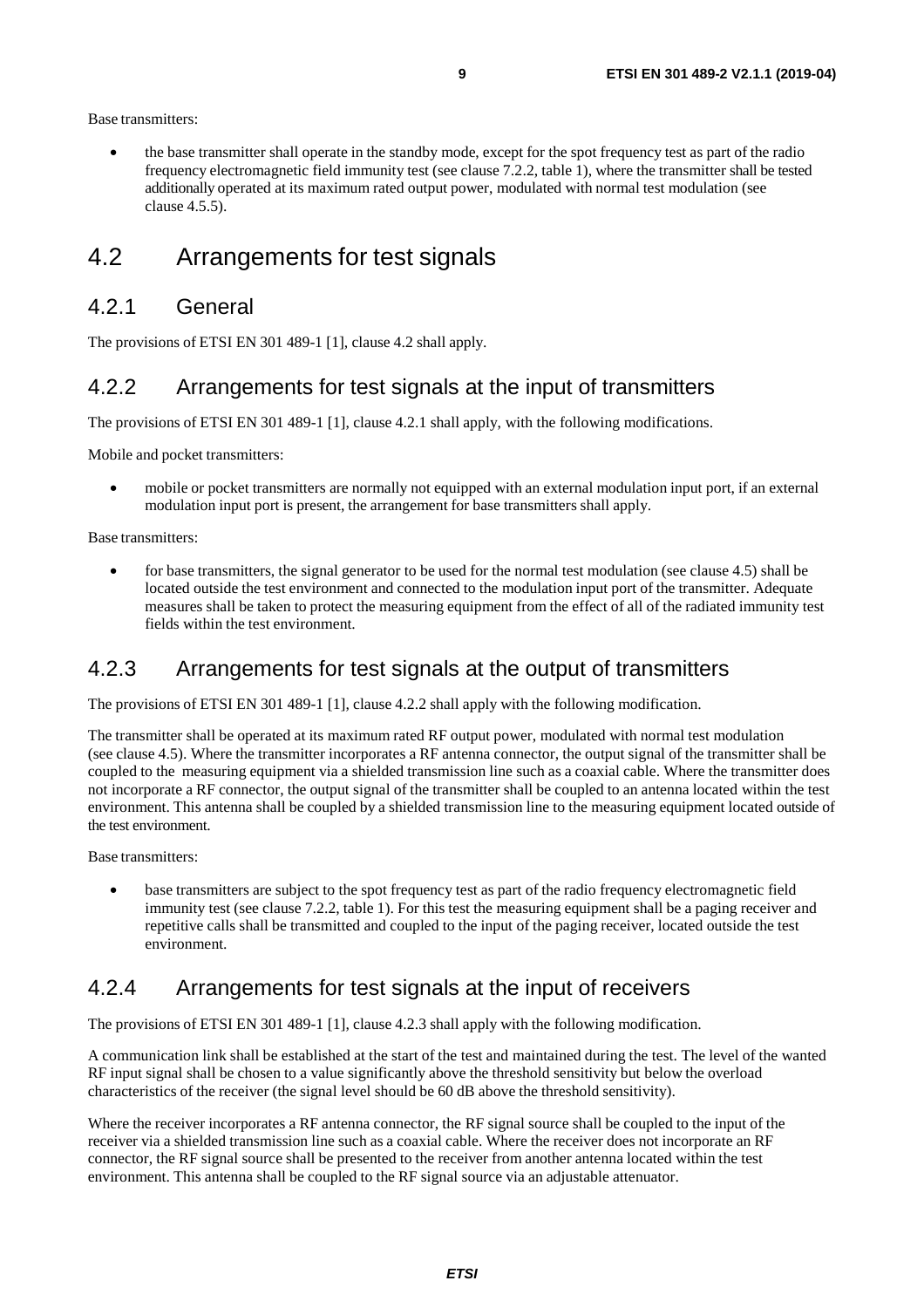Base transmitters:

• the base transmitter shall operate in the standby mode, except for the spot frequency test as part of the radio frequency electromagnetic field immunity test (see clause 7.2.2, table 1), where the transmitter shall be tested additionally operated at its maximum rated output power, modulated with normal test modulation (see clause 4.5.5).

### 4.2 Arrangements for test signals

#### 4.2.1 General

The provisions of ETSI EN 301 489-1 [[1\]](#page-5-0), clause 4.2 shall apply.

#### 4.2.2 Arrangements for test signals at the input of transmitters

The provisions of ETSI EN 301 489-1 [\[1](#page-5-0)], clause 4.2.1 shall apply, with the following modifications.

Mobile and pocket transmitters:

• mobile or pocket transmitters are normally not equipped with an external modulation input port, if an external modulation input port is present, the arrangement for base transmitters shall apply.

Base transmitters:

• for base transmitters, the signal generator to be used for the normal test modulation (see clause 4.5) shall be located outside the test environment and connected to the modulation input port of the transmitter. Adequate measures shall be taken to protect the measuring equipment from the effect of all of the radiated immunity test fields within the test environment.

#### 4.2.3 Arrangements for test signals at the output of transmitters

The provisions of ETSI EN 301 489-1 [\[1](#page-5-0)], clause 4.2.2 shall apply with the following modification.

The transmitter shall be operated at its maximum rated RF output power, modulated with normal test modulation (see clause 4.5). Where the transmitter incorporates a RF antenna connector, the output signal of the transmitter shall be coupled to the measuring equipment via a shielded transmission line such as a coaxial cable. Where the transmitter does not incorporate a RF connector, the output signal of the transmitter shall be coupled to an antenna located within the test environment. This antenna shall be coupled by a shielded transmission line to the measuring equipment located outside of the test environment.

Base transmitters:

• base transmitters are subject to the spot frequency test as part of the radio frequency electromagnetic field immunity test (see clause 7.2.2, table 1). For this test the measuring equipment shall be a paging receiver and repetitive calls shall be transmitted and coupled to the input of the paging receiver, located outside the test environment.

#### 4.2.4 Arrangements for test signals at the input of receivers

The provisions of ETSI EN 301 489-1 [\[1](#page-5-0)], clause 4.2.3 shall apply with the following modification.

A communication link shall be established at the start of the test and maintained during the test. The level of the wanted RF input signal shall be chosen to a value significantly above the threshold sensitivity but below the overload characteristics of the receiver (the signal level should be 60 dB above the threshold sensitivity).

Where the receiver incorporates a RF antenna connector, the RF signal source shall be coupled to the input of the receiver via a shielded transmission line such as a coaxial cable. Where the receiver does not incorporate an RF connector, the RF signal source shall be presented to the receiver from another antenna located within the test environment. This antenna shall be coupled to the RF signal source via an adjustable attenuator.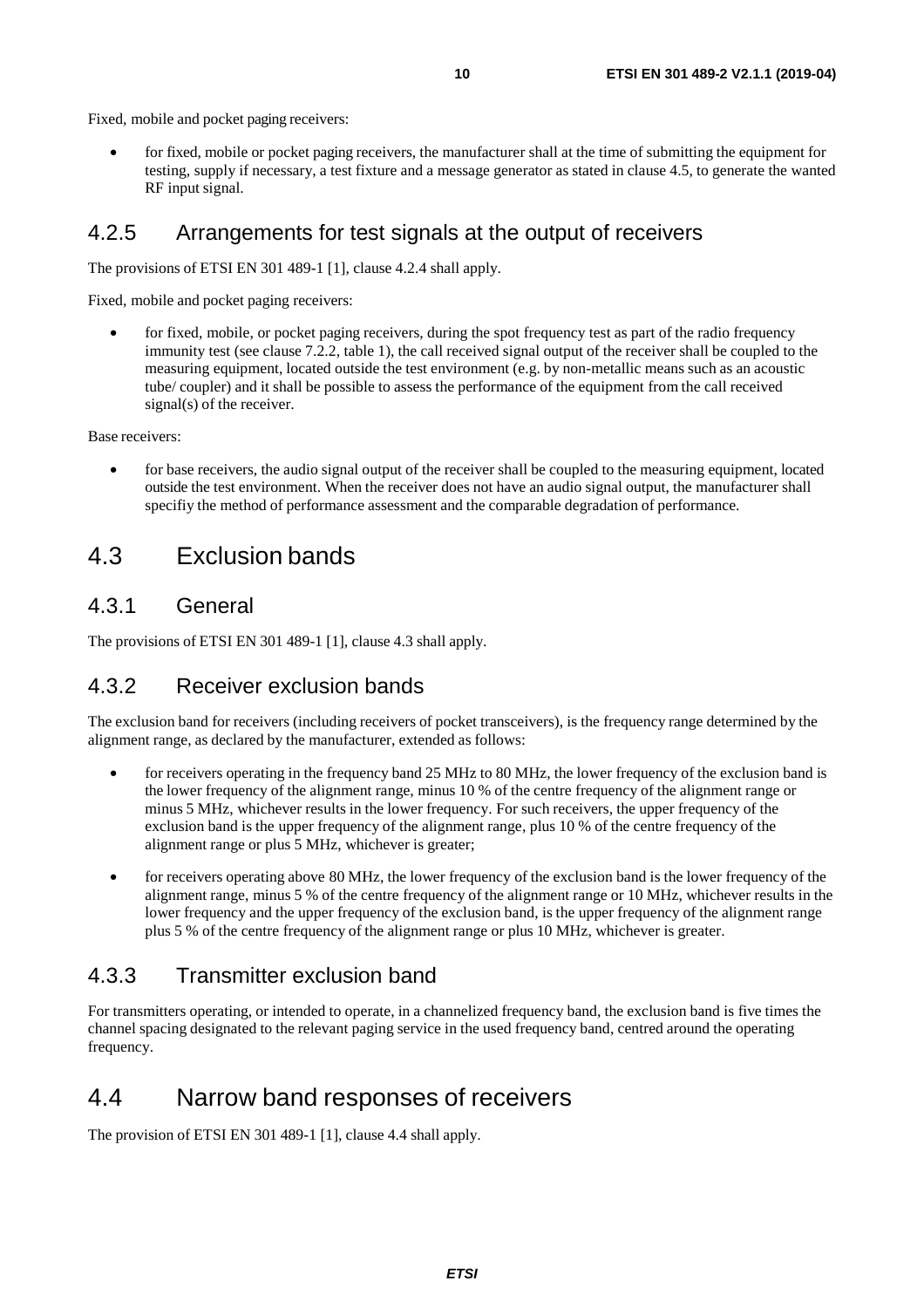Fixed, mobile and pocket paging receivers:

• for fixed, mobile or pocket paging receivers, the manufacturer shall at the time of submitting the equipment for testing, supply if necessary, a test fixture and a message generator as stated in clause 4.5, to generate the wanted RF input signal.

#### 4.2.5 Arrangements for test signals at the output of receivers

The provisions of ETSI EN 301 489-1 [\[1](#page-5-0)], clause 4.2.4 shall apply.

Fixed, mobile and pocket paging receivers:

• for fixed, mobile, or pocket paging receivers, during the spot frequency test as part of the radio frequency immunity test (see clause 7.2.2, table 1), the call received signal output of the receiver shall be coupled to the measuring equipment, located outside the test environment (e.g. by non-metallic means such as an acoustic tube/ coupler) and it shall be possible to assess the performance of the equipment from the call received signal(s) of the receiver.

Base receivers:

• for base receivers, the audio signal output of the receiver shall be coupled to the measuring equipment, located outside the test environment. When the receiver does not have an audio signal output, the manufacturer shall specifiy the method of performance assessment and the comparable degradation of performance.

### 4.3 Exclusion bands

#### 4.3.1 General

The provisions of ETSI EN 301 489-1 [[1\]](#page-5-0), clause 4.3 shall apply.

#### 4.3.2 Receiver exclusion bands

The exclusion band for receivers (including receivers of pocket transceivers), is the frequency range determined by the alignment range, as declared by the manufacturer, extended as follows:

- for receivers operating in the frequency band 25 MHz to 80 MHz, the lower frequency of the exclusion band is the lower frequency of the alignment range, minus 10 % of the centre frequency of the alignment range or minus 5 MHz, whichever results in the lower frequency. For such receivers, the upper frequency of the exclusion band is the upper frequency of the alignment range, plus 10 % of the centre frequency of the alignment range or plus 5 MHz, whichever is greater;
- for receivers operating above 80 MHz, the lower frequency of the exclusion band is the lower frequency of the alignment range, minus 5 % of the centre frequency of the alignment range or 10 MHz, whichever results in the lower frequency and the upper frequency of the exclusion band, is the upper frequency of the alignment range plus 5 % of the centre frequency of the alignment range or plus 10 MHz, whichever is greater.

#### 4.3.3 Transmitter exclusion band

For transmitters operating, or intended to operate, in a channelized frequency band, the exclusion band is five times the channel spacing designated to the relevant paging service in the used frequency band, centred around the operating frequency.

#### 4.4 Narrow band responses of receivers

The provision of ETSI EN 301 489-1 [\[1](#page-5-0)], clause 4.4 shall apply.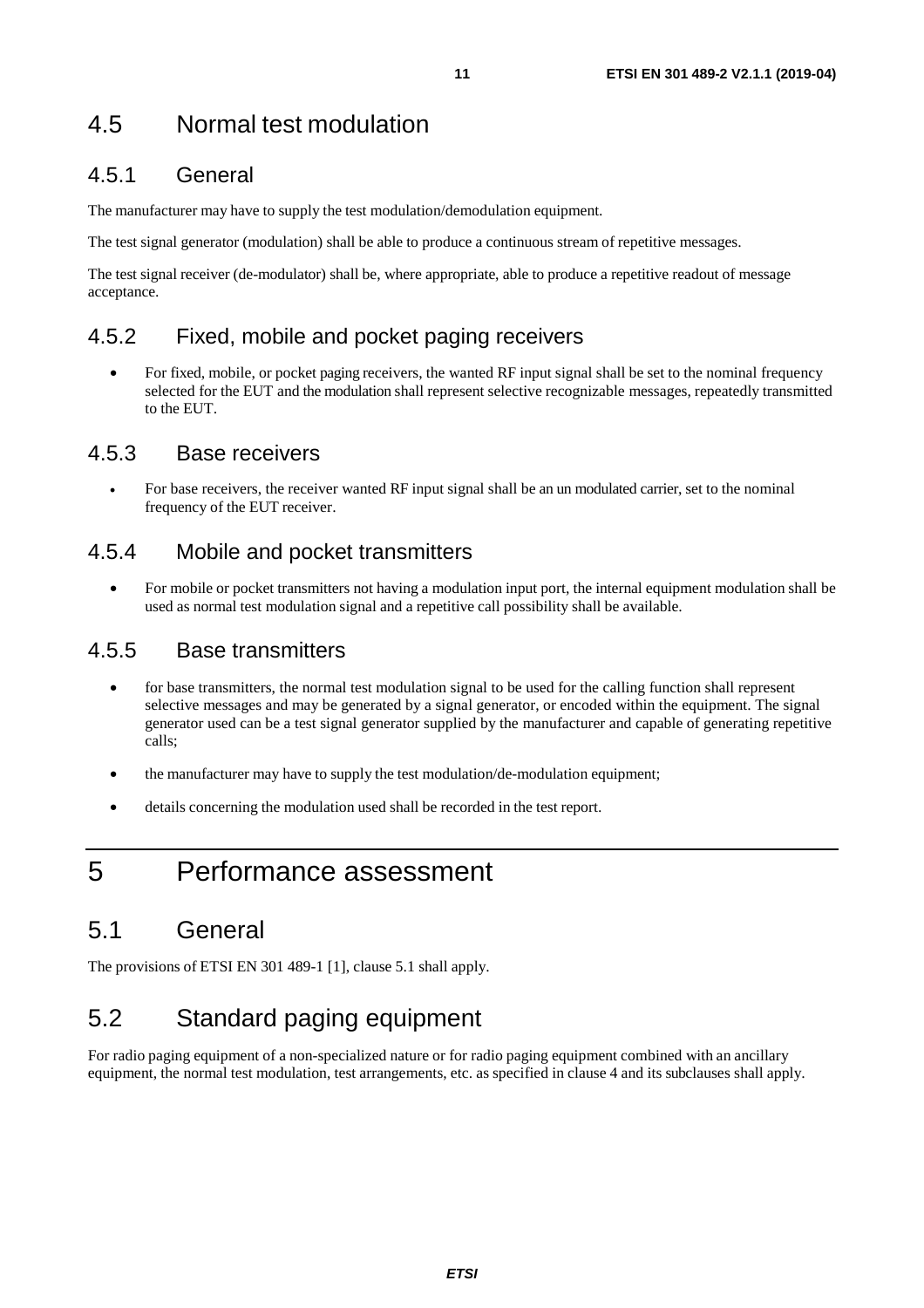#### 4.5.1 General

The manufacturer may have to supply the test modulation/demodulation equipment.

The test signal generator (modulation) shall be able to produce a continuous stream of repetitive messages.

The test signal receiver (de-modulator) shall be, where appropriate, able to produce a repetitive readout of message acceptance.

#### 4.5.2 Fixed, mobile and pocket paging receivers

• For fixed, mobile, or pocket paging receivers, the wanted RF input signal shall be set to the nominal frequency selected for the EUT and the modulation shall represent selective recognizable messages, repeatedly transmitted to the EUT.

#### 4.5.3 Base receivers

• For base receivers, the receiver wanted RF input signal shall be an un modulated carrier, set to the nominal frequency of the EUT receiver.

#### 4.5.4 Mobile and pocket transmitters

• For mobile or pocket transmitters not having a modulation input port, the internal equipment modulation shall be used as normal test modulation signal and a repetitive call possibility shall be available.

#### 4.5.5 Base transmitters

- for base transmitters, the normal test modulation signal to be used for the calling function shall represent selective messages and may be generated by a signal generator, or encoded within the equipment. The signal generator used can be a test signal generator supplied by the manufacturer and capable of generating repetitive calls;
- the manufacturer may have to supply the test modulation/de-modulation equipment;
- details concerning the modulation used shall be recorded in the test report.

## 5 Performance assessment

## 5.1 General

The provisions of ETSI EN 301 489-1 [\[1](#page-5-0)], clause 5.1 shall apply.

## 5.2 Standard paging equipment

For radio paging equipment of a non-specialized nature or for radio paging equipment combined with an ancillary equipment, the normal test modulation, test arrangements, etc. as specified in clause 4 and its subclauses shall apply.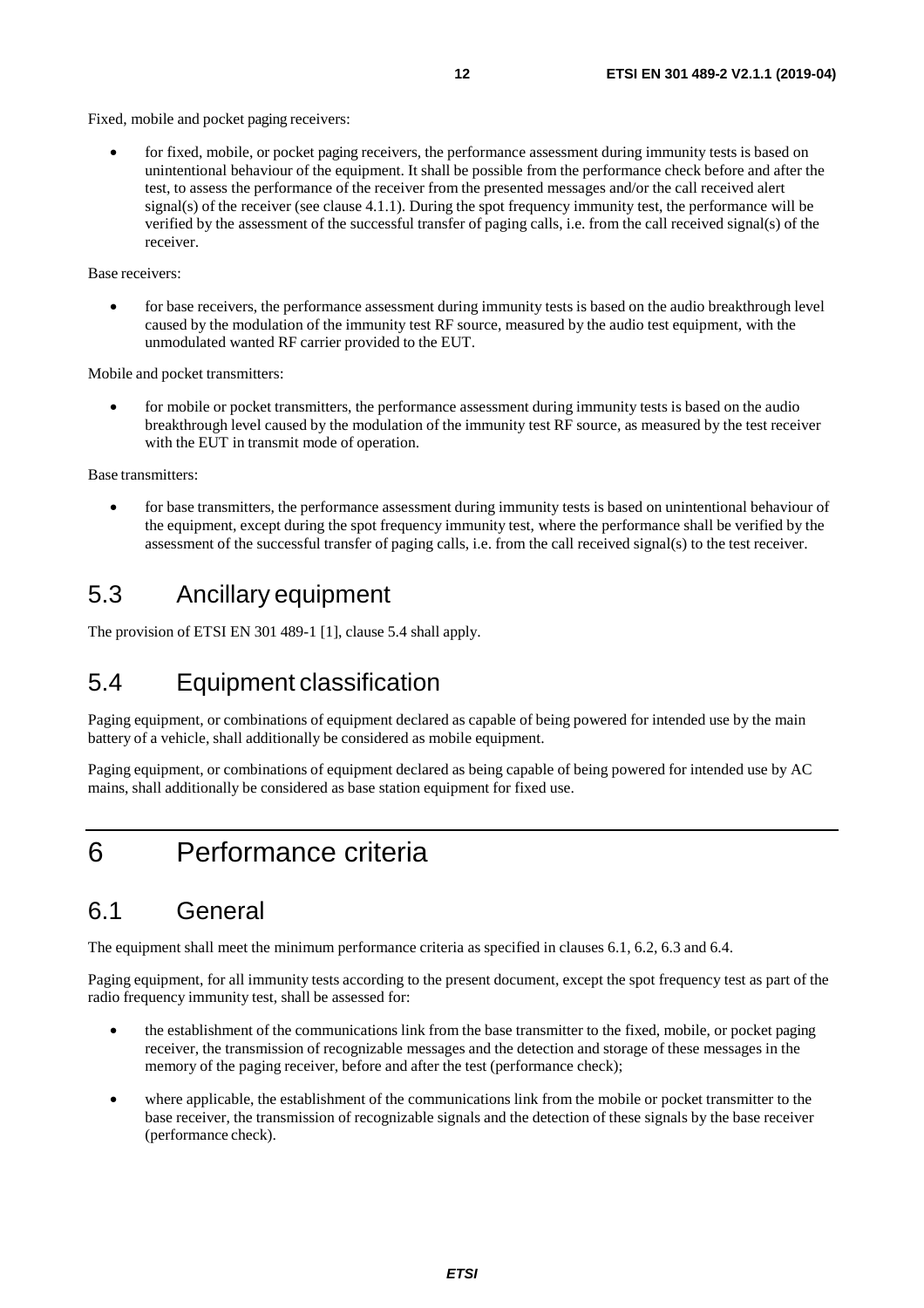Fixed, mobile and pocket paging receivers:

• for fixed, mobile, or pocket paging receivers, the performance assessment during immunity tests is based on unintentional behaviour of the equipment. It shall be possible from the performance check before and after the test, to assess the performance of the receiver from the presented messages and/or the call received alert signal(s) of the receiver (see clause 4.1.1). During the spot frequency immunity test, the performance will be verified by the assessment of the successful transfer of paging calls, i.e. from the call received signal(s) of the receiver.

#### Base receivers:

• for base receivers, the performance assessment during immunity tests is based on the audio breakthrough level caused by the modulation of the immunity test RF source, measured by the audio test equipment, with the unmodulated wanted RF carrier provided to the EUT.

Mobile and pocket transmitters:

• for mobile or pocket transmitters, the performance assessment during immunity tests is based on the audio breakthrough level caused by the modulation of the immunity test RF source, as measured by the test receiver with the EUT in transmit mode of operation.

Base transmitters:

• for base transmitters, the performance assessment during immunity tests is based on unintentional behaviour of the equipment, except during the spot frequency immunity test, where the performance shall be verified by the assessment of the successful transfer of paging calls, i.e. from the call received signal(s) to the test receiver.

### 5.3 Ancillary equipment

The provision of ETSI EN 301 489-1 [\[1](#page-5-0)], clause 5.4 shall apply.

## 5.4 Equipment classification

Paging equipment, or combinations of equipment declared as capable of being powered for intended use by the main battery of a vehicle, shall additionally be considered as mobile equipment.

Paging equipment, or combinations of equipment declared as being capable of being powered for intended use by AC mains, shall additionally be considered as base station equipment for fixed use.

## 6 Performance criteria

### 6.1 General

The equipment shall meet the minimum performance criteria as specified in clauses 6.1, 6.2, 6.3 and 6.4.

Paging equipment, for all immunity tests according to the present document, except the spot frequency test as part of the radio frequency immunity test, shall be assessed for:

- the establishment of the communications link from the base transmitter to the fixed, mobile, or pocket paging receiver, the transmission of recognizable messages and the detection and storage of these messages in the memory of the paging receiver, before and after the test (performance check);
- where applicable, the establishment of the communications link from the mobile or pocket transmitter to the base receiver, the transmission of recognizable signals and the detection of these signals by the base receiver (performance check).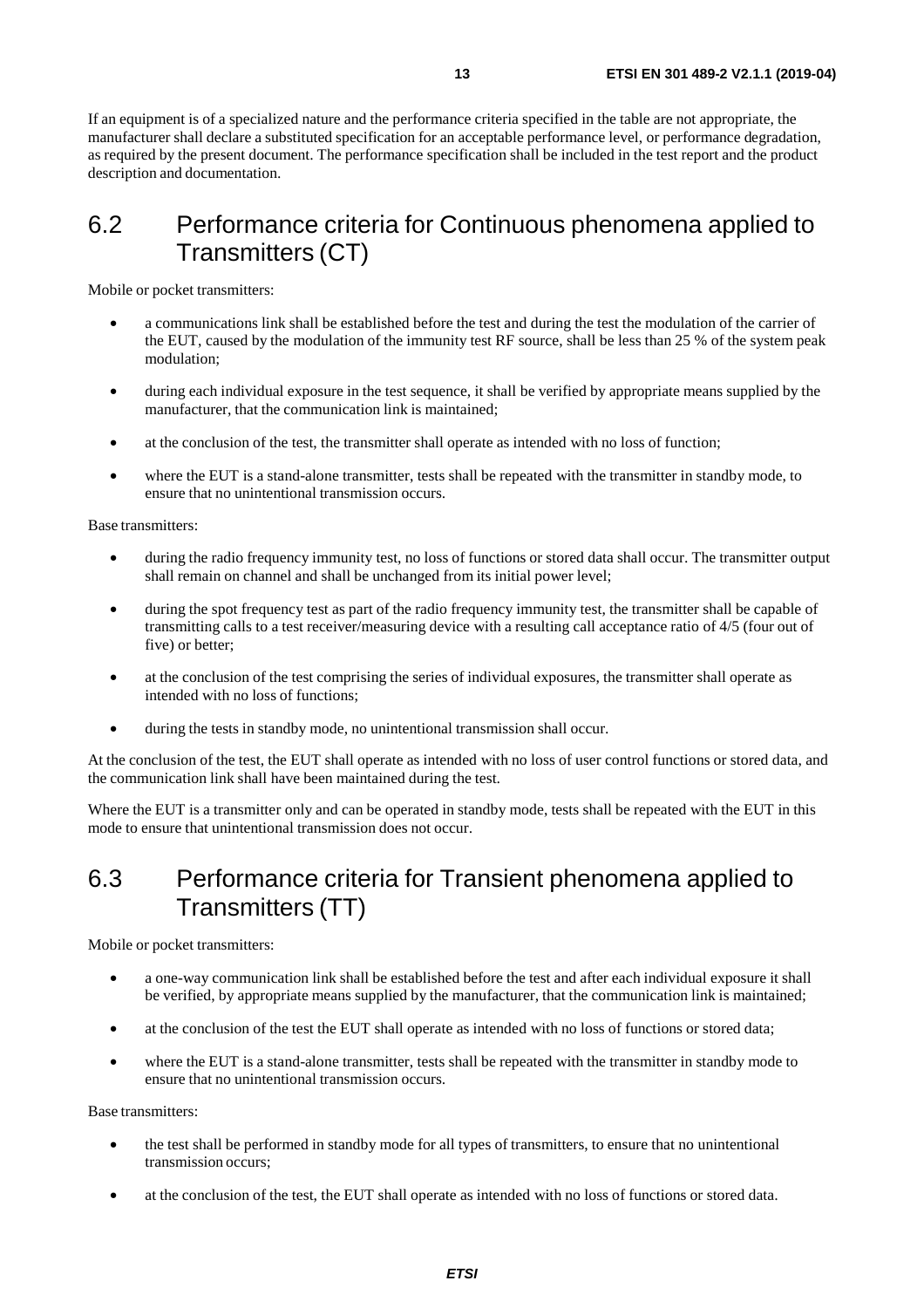If an equipment is of a specialized nature and the performance criteria specified in the table are not appropriate, the manufacturer shall declare a substituted specification for an acceptable performance level, or performance degradation, as required by the present document. The performance specification shall be included in the test report and the product description and documentation.

### 6.2 Performance criteria for Continuous phenomena applied to Transmitters (CT)

Mobile or pocket transmitters:

- a communications link shall be established before the test and during the test the modulation of the carrier of the EUT, caused by the modulation of the immunity test RF source, shall be less than 25 % of the system peak modulation;
- during each individual exposure in the test sequence, it shall be verified by appropriate means supplied by the manufacturer, that the communication link is maintained;
- at the conclusion of the test, the transmitter shall operate as intended with no loss of function;
- where the EUT is a stand-alone transmitter, tests shall be repeated with the transmitter in standby mode, to ensure that no unintentional transmission occurs.

Base transmitters:

- during the radio frequency immunity test, no loss of functions or stored data shall occur. The transmitter output shall remain on channel and shall be unchanged from its initial power level;
- during the spot frequency test as part of the radio frequency immunity test, the transmitter shall be capable of transmitting calls to a test receiver/measuring device with a resulting call acceptance ratio of 4/5 (four out of five) or better;
- at the conclusion of the test comprising the series of individual exposures, the transmitter shall operate as intended with no loss of functions;
- during the tests in standby mode, no unintentional transmission shall occur.

At the conclusion of the test, the EUT shall operate as intended with no loss of user control functions or stored data, and the communication link shall have been maintained during the test.

Where the EUT is a transmitter only and can be operated in standby mode, tests shall be repeated with the EUT in this mode to ensure that unintentional transmission does not occur.

### 6.3 Performance criteria for Transient phenomena applied to Transmitters (TT)

Mobile or pocket transmitters:

- a one-way communication link shall be established before the test and after each individual exposure it shall be verified, by appropriate means supplied by the manufacturer, that the communication link is maintained;
- at the conclusion of the test the EUT shall operate as intended with no loss of functions or stored data;
- where the EUT is a stand-alone transmitter, tests shall be repeated with the transmitter in standby mode to ensure that no unintentional transmission occurs.

Base transmitters:

- the test shall be performed in standby mode for all types of transmitters, to ensure that no unintentional transmission occurs;
- at the conclusion of the test, the EUT shall operate as intended with no loss of functions or stored data.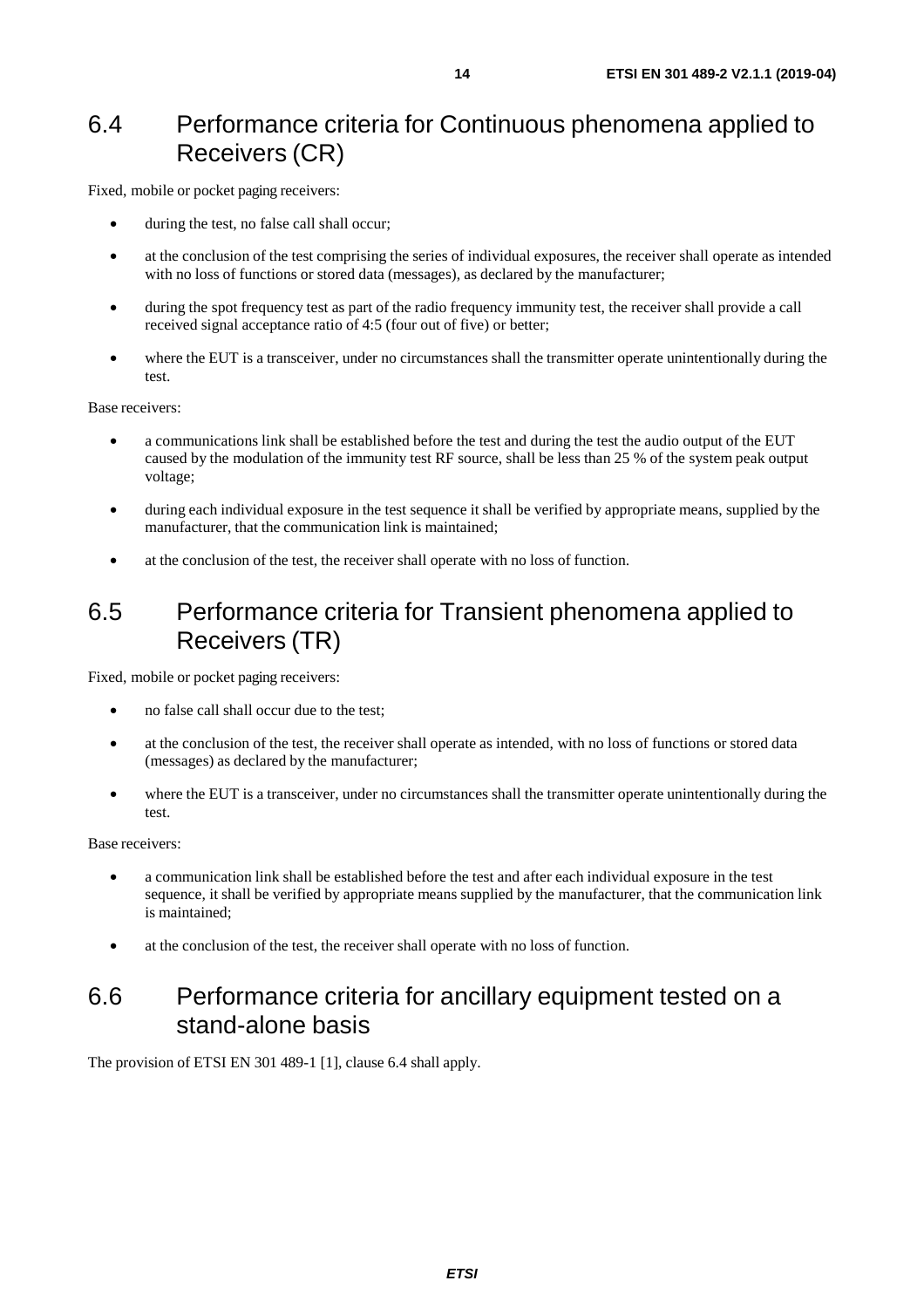### 6.4 Performance criteria for Continuous phenomena applied to Receivers (CR)

Fixed, mobile or pocket paging receivers:

- during the test, no false call shall occur;
- at the conclusion of the test comprising the series of individual exposures, the receiver shall operate as intended with no loss of functions or stored data (messages), as declared by the manufacturer;
- during the spot frequency test as part of the radio frequency immunity test, the receiver shall provide a call received signal acceptance ratio of 4:5 (four out of five) or better;
- where the EUT is a transceiver, under no circumstances shall the transmitter operate unintentionally during the test.

Base receivers:

- a communications link shall be established before the test and during the test the audio output of the EUT caused by the modulation of the immunity test RF source, shall be less than 25 % of the system peak output voltage;
- during each individual exposure in the test sequence it shall be verified by appropriate means, supplied by the manufacturer, that the communication link is maintained;
- at the conclusion of the test, the receiver shall operate with no loss of function.

### 6.5 Performance criteria for Transient phenomena applied to Receivers (TR)

Fixed, mobile or pocket paging receivers:

- no false call shall occur due to the test;
- at the conclusion of the test, the receiver shall operate as intended, with no loss of functions or stored data (messages) as declared by the manufacturer;
- where the EUT is a transceiver, under no circumstances shall the transmitter operate unintentionally during the test.

Base receivers:

- a communication link shall be established before the test and after each individual exposure in the test sequence, it shall be verified by appropriate means supplied by the manufacturer, that the communication link is maintained;
- at the conclusion of the test, the receiver shall operate with no loss of function.

### 6.6 Performance criteria for ancillary equipment tested on a stand-alone basis

The provision of ETSI EN 301 489-1 [\[1](#page-5-0)], clause 6.4 shall apply.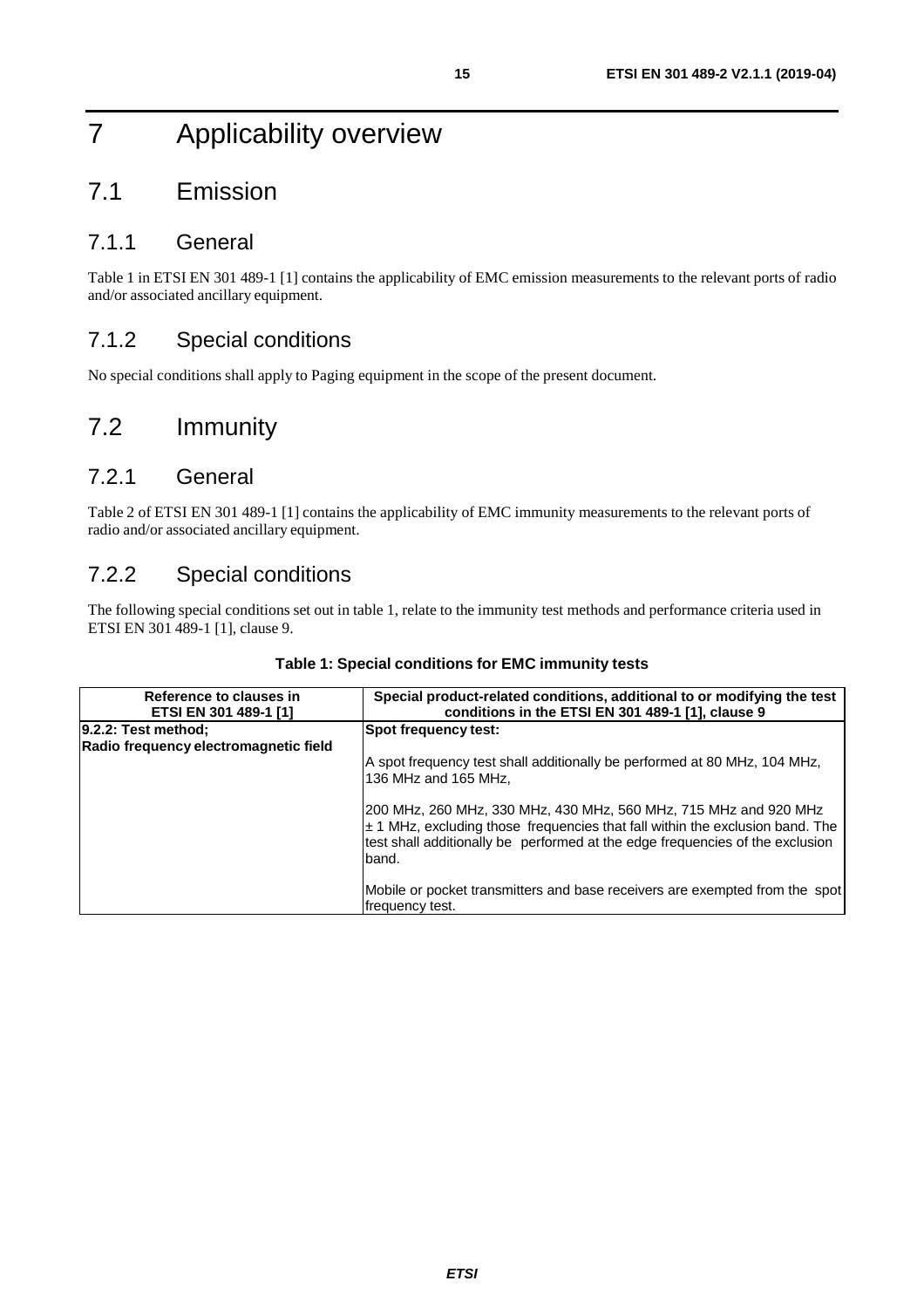## 7 Applicability overview

## 7.1 Emission

#### 7.1.1 General

Table 1 in ETSI EN 301 489-1 [[1\]](#page-5-0) contains the applicability of EMC emission measurements to the relevant ports of radio and/or associated ancillary equipment.

### 7.1.2 Special conditions

No special conditions shall apply to Paging equipment in the scope of the present document.

## 7.2 Immunity

#### 7.2.1 General

Table 2 of ETSI EN 301 489-1 [\[1](#page-5-0)] contains the applicability of EMC immunity measurements to the relevant ports of radio and/or associated ancillary equipment.

#### 7.2.2 Special conditions

The following special conditions set out in table 1, relate to the immunity test methods and performance criteria used in ETSI EN 301 489-1 [[1\]](#page-5-0), clause 9.

| Reference to clauses in<br>ETSI EN 301 489-1 [1]             | Special product-related conditions, additional to or modifying the test<br>conditions in the ETSI EN 301 489-1 [1], clause 9                                                                                                                     |
|--------------------------------------------------------------|--------------------------------------------------------------------------------------------------------------------------------------------------------------------------------------------------------------------------------------------------|
| 9.2.2: Test method;<br>Radio frequency electromagnetic field | Spot frequency test:                                                                                                                                                                                                                             |
|                                                              | A spot frequency test shall additionally be performed at 80 MHz, 104 MHz,<br>136 MHz and 165 MHz,                                                                                                                                                |
|                                                              | 200 MHz, 260 MHz, 330 MHz, 430 MHz, 560 MHz, 715 MHz and 920 MHz<br>$\pm$ 1 MHz, excluding those frequencies that fall within the exclusion band. The<br>test shall additionally be performed at the edge frequencies of the exclusion<br>lband. |
|                                                              | Mobile or pocket transmitters and base receivers are exempted from the spot<br>frequency test.                                                                                                                                                   |

#### **Table 1: Special conditions for EMC immunity tests**

*ETSI*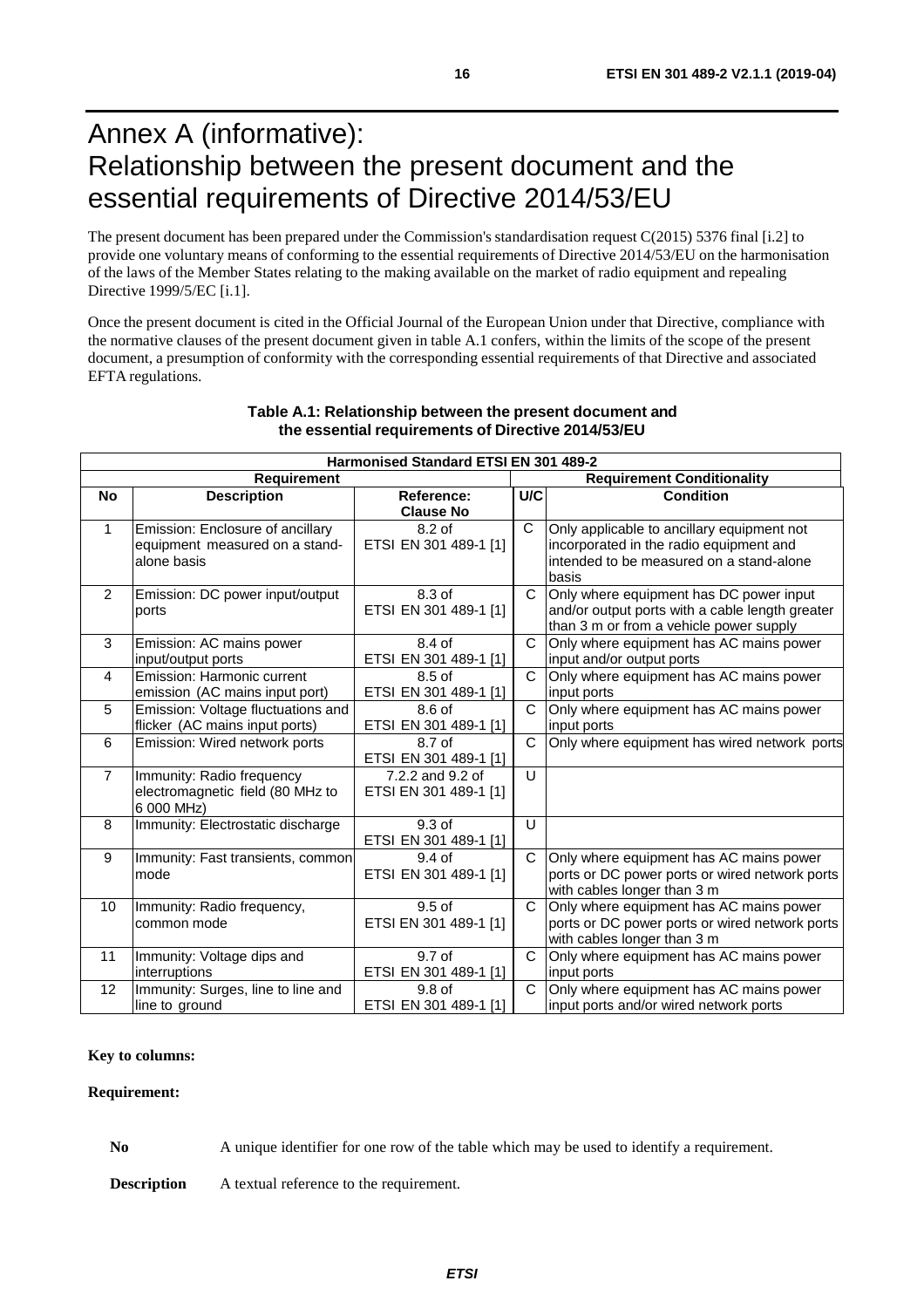## Annex A (informative): Relationship between the present document and the essential requirements of Directive 2014/53/EU

The present document has been prepared under the Commission's standardisation request C(2015) 5376 final [\[i.2\]](#page-6-0) to provide one voluntary means of conforming to the essential requirements of Directive 2014/53/EU on the harmonisation of the laws of the Member States relating to the making available on the market of radio equipment and repealing Directive 1999/5/EC [[i.1](#page-5-0)].

Once the present document is cited in the Official Journal of the European Union under that Directive, compliance with the normative clauses of the present document given in table A.1 confers, within the limits of the scope of the present document, a presumption of conformity with the corresponding essential requirements of that Directive and associated EFTA regulations.

| Harmonised Standard ETSI EN 301 489-2 |                                                |                                           |                                   |                                                 |  |
|---------------------------------------|------------------------------------------------|-------------------------------------------|-----------------------------------|-------------------------------------------------|--|
| <b>Requirement</b>                    |                                                |                                           | <b>Requirement Conditionality</b> |                                                 |  |
| <b>No</b>                             | <b>Description</b>                             | Reference:                                | U/C                               | <b>Condition</b>                                |  |
|                                       |                                                | <b>Clause No</b>                          |                                   |                                                 |  |
| $\mathbf{1}$                          | Emission: Enclosure of ancillary               | 8.2 of                                    | $\mathsf{C}$                      | Only applicable to ancillary equipment not      |  |
|                                       | equipment measured on a stand-                 | ETSI EN 301 489-1 [1]                     |                                   | incorporated in the radio equipment and         |  |
|                                       | alone basis                                    |                                           |                                   | intended to be measured on a stand-alone        |  |
|                                       |                                                |                                           |                                   | basis                                           |  |
| 2                                     | Emission: DC power input/output                | 8.3 of                                    | C                                 | Only where equipment has DC power input         |  |
|                                       | ports                                          | ETSI EN 301 489-1 [1]                     |                                   | and/or output ports with a cable length greater |  |
|                                       |                                                |                                           |                                   | than 3 m or from a vehicle power supply         |  |
| 3                                     | Emission: AC mains power                       | 8.4 of                                    | $\mathsf{C}$                      | Only where equipment has AC mains power         |  |
|                                       | input/output ports                             | ETSI EN 301 489-1 [1]                     |                                   | input and/or output ports                       |  |
| 4                                     | Emission: Harmonic current                     | $8.5$ of                                  | C                                 | Only where equipment has AC mains power         |  |
|                                       | emission (AC mains input port)                 | ETSI EN 301 489-1 [1]                     |                                   | input ports                                     |  |
| 5                                     | Emission: Voltage fluctuations and             | 8.6 of                                    | $\mathsf{C}$                      | Only where equipment has AC mains power         |  |
|                                       | flicker (AC mains input ports)                 | ETSI EN 301 489-1 [1]                     |                                   | input ports                                     |  |
| 6                                     | Emission: Wired network ports                  | 8.7 of                                    | C                                 | Only where equipment has wired network ports    |  |
| $\overline{7}$                        |                                                | ETSI EN 301 489-1 [1]<br>7.2.2 and 9.2 of | U                                 |                                                 |  |
|                                       | Immunity: Radio frequency                      |                                           |                                   |                                                 |  |
|                                       | electromagnetic field (80 MHz to<br>6 000 MHz) | ETSI EN 301 489-1 [1]                     |                                   |                                                 |  |
| 8                                     | Immunity: Electrostatic discharge              | 9.3 of                                    | U                                 |                                                 |  |
|                                       |                                                | ETSI EN 301 489-1 [1]                     |                                   |                                                 |  |
| 9                                     | Immunity: Fast transients, common              | $9.4$ of                                  | $\mathsf{C}$                      | Only where equipment has AC mains power         |  |
|                                       | mode                                           | ETSI EN 301 489-1 [1]                     |                                   | ports or DC power ports or wired network ports  |  |
|                                       |                                                |                                           |                                   | with cables longer than 3 m                     |  |
| 10                                    | Immunity: Radio frequency,                     | $9.5$ of                                  | C                                 | Only where equipment has AC mains power         |  |
|                                       | common mode                                    | ETSI EN 301 489-1 [1]                     |                                   | ports or DC power ports or wired network ports  |  |
|                                       |                                                |                                           |                                   | with cables longer than 3 m                     |  |
| 11                                    | Immunity: Voltage dips and                     | 9.7 of                                    | C                                 | Only where equipment has AC mains power         |  |
|                                       | interruptions                                  | ETSI EN 301 489-1 [1]                     |                                   | input ports                                     |  |
| 12                                    | Immunity: Surges, line to line and             | 9.8 <sub>of</sub>                         | C                                 | Only where equipment has AC mains power         |  |
|                                       | line to ground                                 | ETSI EN 301 489-1 [1]                     |                                   | input ports and/or wired network ports          |  |

#### **Table A.1: Relationship between the present document and the essential requirements of Directive 2014/53/EU**

#### **Key to columns:**

#### **Requirement:**

**No** A unique identifier for one row of the table which may be used to identify a requirement.

**Description** A textual reference to the requirement.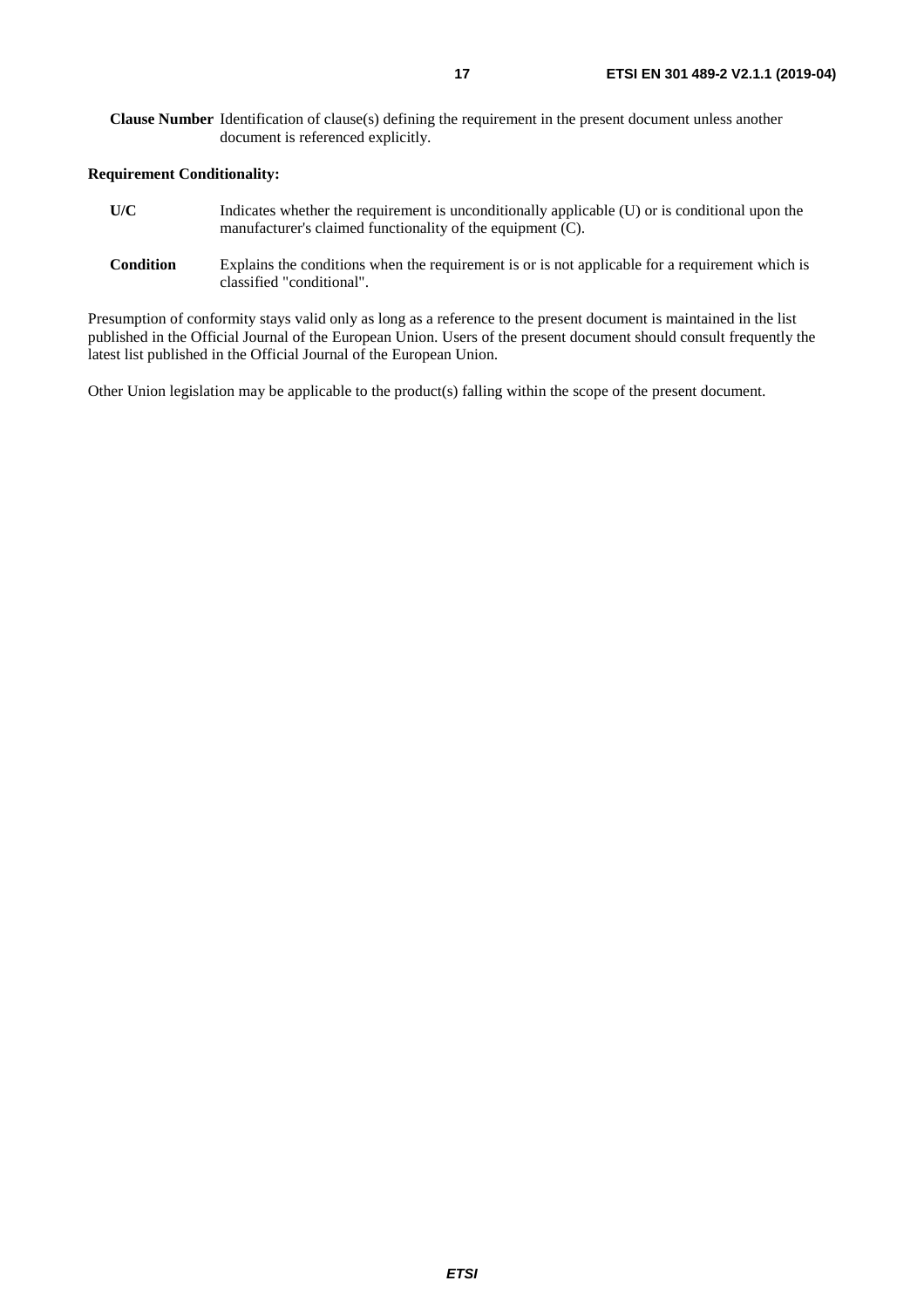#### **Requirement Conditionality:**

- **U/C** Indicates whether the requirement is unconditionally applicable (U) or is conditional upon the manufacturer's claimed functionality of the equipment (C).
- **Condition** Explains the conditions when the requirement is or is not applicable for a requirement which is classified "conditional".

Presumption of conformity stays valid only as long as a reference to the present document is maintained in the list published in the Official Journal of the European Union. Users of the present document should consult frequently the latest list published in the Official Journal of the European Union.

Other Union legislation may be applicable to the product(s) falling within the scope of the present document.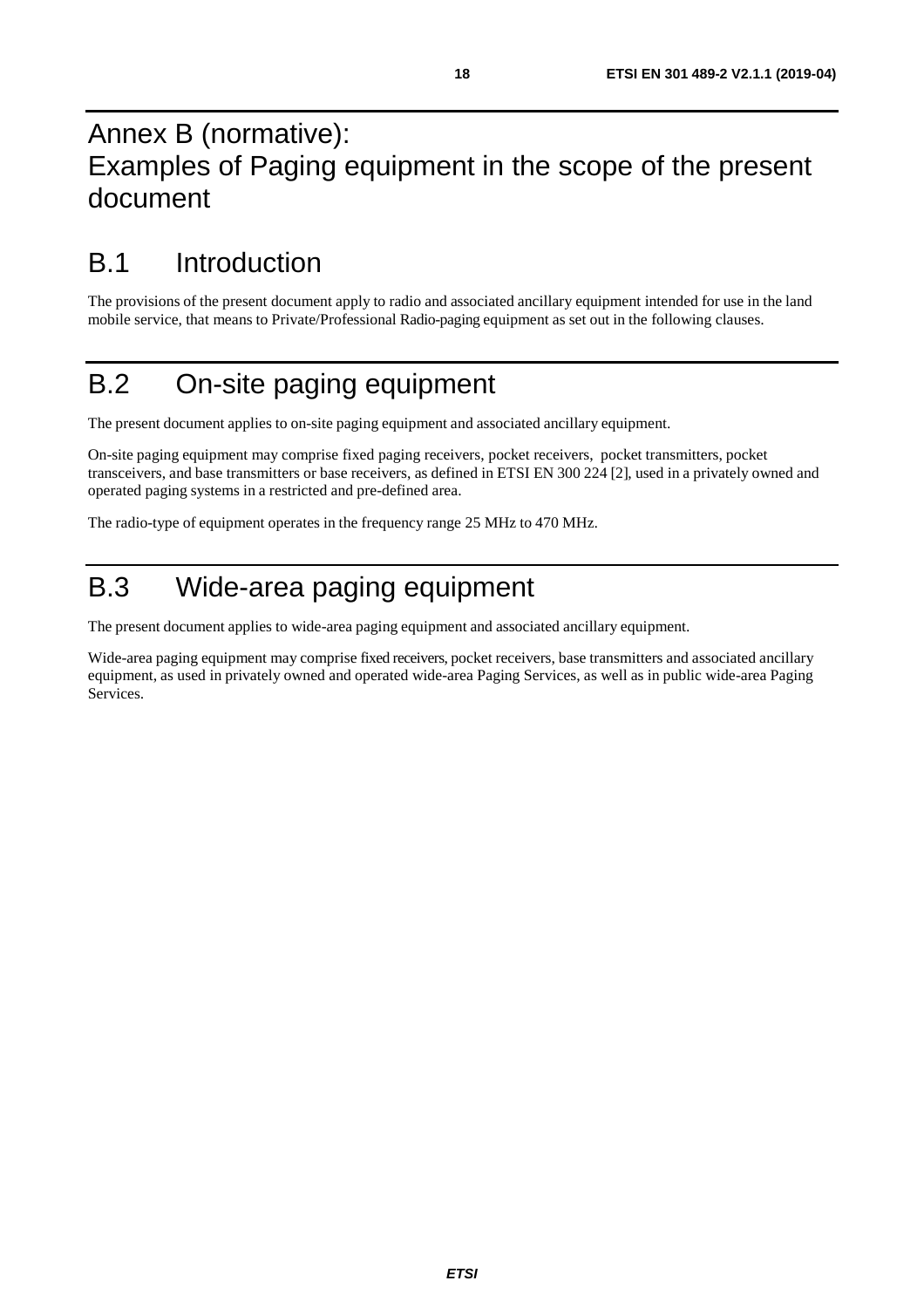## Annex B (normative): Examples of Paging equipment in the scope of the present document

## B.1 Introduction

The provisions of the present document apply to radio and associated ancillary equipment intended for use in the land mobile service, that means to Private/Professional Radio-paging equipment as set out in the following clauses.

## B.2 On-site paging equipment

The present document applies to on-site paging equipment and associated ancillary equipment.

On-site paging equipment may comprise fixed paging receivers, pocket receivers, pocket transmitters, pocket transceivers, and base transmitters or base receivers, as defined in ETSI EN 300 224 [\[2](#page-5-0)], used in a privately owned and operated paging systems in a restricted and pre-defined area.

The radio-type of equipment operates in the frequency range 25 MHz to 470 MHz.

## B.3 Wide-area paging equipment

The present document applies to wide-area paging equipment and associated ancillary equipment.

Wide-area paging equipment may comprise fixed receivers, pocket receivers, base transmitters and associated ancillary equipment, as used in privately owned and operated wide-area Paging Services, as well as in public wide-area Paging Services.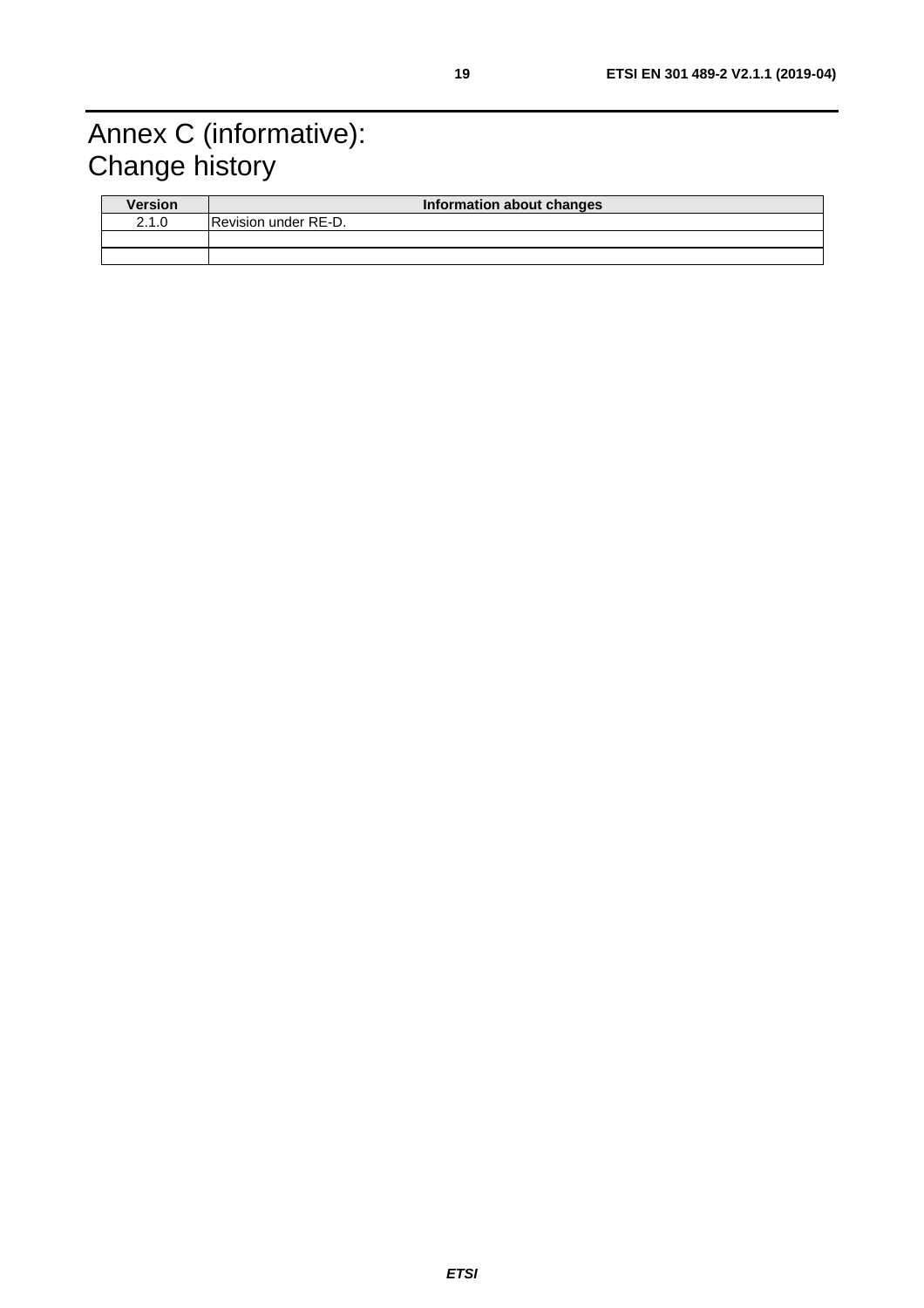## Annex C (informative): Change history

| <b>Version</b> | Information about changes   |
|----------------|-----------------------------|
| 2.1.0          | <b>Revision under RE-D.</b> |
|                |                             |
|                |                             |